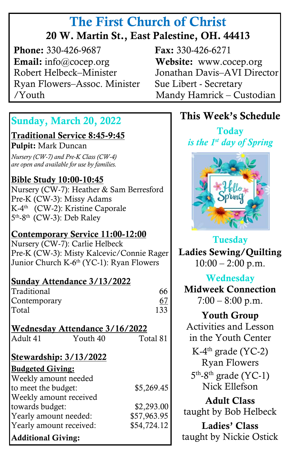# The First Church of Christ 20 W. Martin St., East Palestine, OH. 44413

**Phone:** 330-426-9687 **Fax:** 330-426-6271 Email: info@cocep.org Website: www.cocep.org Robert Helbeck–Minister Jonathan Davis–AVI Director Ryan Flowers–Assoc. Minister Sue Libert - Secretary /Youth Mandy Hamrick – Custodian

## Sunday, March 20, 2022

٦

Traditional Service 8:45-9:45

Pulpit: Mark Duncan

 *are open and available for use by families. Nursery (CW-7) and Pre-K Class (CW-4)*

### Bible Study 10:00-10:45

Nursery (CW-7): Heather & Sam Berresford Pre-K (CW-3): Missy Adams K-4<sup>th</sup> (CW-2): Kristine Caporale 5<sup>th</sup>-8<sup>th</sup> (CW-3): Deb Raley

#### Contemporary Service 11:00-12:00

Nursery (CW-7): Carlie Helbeck Pre-K (CW-3): Misty Kalcevic/Connie Rager Junior Church K-6<sup>th</sup> (YC-1): Ryan Flowers

#### Sunday Attendance 3/13/2022

Traditional 66 Contemporary 67 Total 133

| Wednesday Attendance 3/16/2022 |                        |             |
|--------------------------------|------------------------|-------------|
| Adult 41                       | Youth 40               | Total 81    |
|                                | Stewardship: 3/13/2022 |             |
| <b>Budgeted Giving:</b>        |                        |             |
| Weekly amount needed           |                        |             |
| to meet the budget:            |                        | \$5,269.45  |
| Weekly amount received         |                        |             |
| towards budget:                |                        | \$2,293.00  |
| Yearly amount needed:          |                        | \$57,963.95 |
| Yearly amount received:        |                        | \$54,724.12 |
|                                |                        |             |

## Additional Giving:

## This Week's Schedule

**Today** *is the 1st day of Spring*



Tuesday Ladies Sewing/Quilting  $10:00 - 2:00$  p.m.

## **Wednesday**

Midweek Connection  $7:00 - 8:00 \text{ p.m.}$ 

Youth Group Activities and Lesson in the Youth Center K-4<sup>th</sup> grade (YC-2) Ryan Flowers 5<sup>th</sup>-8<sup>th</sup> grade (YC-1) Nick Ellefson Adult Class taught by Bob Helbeck Ladies' Class

taught by Nickie Ostick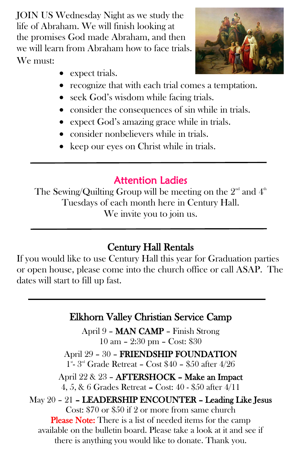JOIN US Wednesday Night as we study the life of Abraham. We will finish looking at the promises God made Abraham, and then we will learn from Abraham how to face trials. We must:

- expect trials.
- recognize that with each trial comes a temptation.
- seek God's wisdom while facing trials.
- consider the consequences of sin while in trials.
- expect God's amazing grace while in trials.
- consider nonbelievers while in trials.
- keep our eyes on Christ while in trials.

# Attention Ladies

The Sewing/Quilting Group will be meeting on the  $2^{\text{\tiny nd}}$  and  $4^{\text{\tiny th}}$ Tuesdays of each month here in Century Hall. We invite you to join us.

# Century Hall Rentals

If you would like to use Century Hall this year for Graduation parties or open house, please come into the church office or call ASAP. The dates will start to fill up fast.

## Elkhorn Valley Christian Service Camp

April 9 – MAN CAMP – Finish Strong 10 am – 2:30 pm – Cost: \$30

April 29 – 30 – FRIENDSHIP FOUNDATION 1<sup>st</sup>-3<sup>rd</sup> Grade Retreat - Cost \$40 - \$50 after 4/26

## April 22 & 23 – AFTERSHOCK – Make an Impact

4, 5, & 6 Grades Retreat – Cost: 40 - \$50 after 4/11

# May 20 – 21 – LEADERSHIP ENCOUNTER – Leading Like Jesus

Cost: \$70 or \$50 if 2 or more from same church Please Note: There is a list of needed items for the camp available on the bulletin board. Please take a look at it and see if there is anything you would like to donate. Thank you.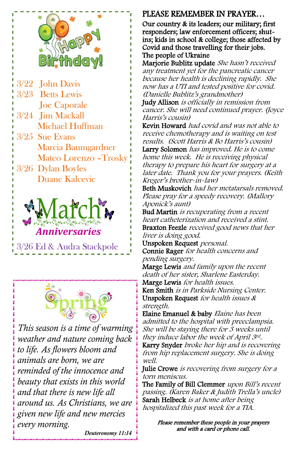

- 3/22 John Davis 3/23 Betts Lewis Joe Caporale 3/24 Jim Mackall Michael Huffman 3/25 Sue Evans Marcia Baumgardner Mateo Lorenzo –Trosky
- 3/26 Dylan Boyles Duane Kalcevic



3/26 Ed & Audra Stackpole



*This season is a time of warming weather and nature coming back to life. As flowers bloom and animals are born, we are reminded of the innocence and beauty that exists in this world and that there is new life all around us. As Christians, we are given new life and new mercies every morning.*

#### PLEASE REMEMBER IN PRAYER…

Our country & its leaders; our military; first responders; law enforcement officers; shutins; kids in school & college; those affected by Covid and those travelling for their jobs. The people of Ukraine

Marjorie Bublitz update She hasn't received any treatment yet for the pancreatic cancer because her health is declining rapidly. She now has a UTI and tested positive for covid. (Danielle Bublitz's grandmother)

Judy Allison is officially in remission from cancer. She will need continued prayer. (Joyce Harris'<sup>s</sup> cousin)

Kevin Howard had covid and was not able to receive chemotherapy and is waiting on test results. (Scott Harris & Bo Harris's cousin)

Larry Solomon has improved. He is to come home this week. He is receiving physical therapy to prepare his heart for surgery at a later date. Thank you for your prayers. (Keith Kreger's brother-in-law)

Beth Muskovich had her metatarsals removed. Please pray for a speedy recovery. (Mallory Aponick's aunt)

Bud Martin is recuperating from a recent heart catheterization and received a stint. Braxton Feezle received good news that her liver is doing good.

Unspoken Request personal. Connie Rager for health concerns and

pending surgery.

Marge Lewis and family upon the recent death of her sister, Sharlene Easterday.

Marge Lewis for health issues. Ken Smith is in Parkside Nursing Center. Unspoken Request for health issues & strength.

Elaine Emanuel & baby Elaine has been admitted to the hospital with preeclampsia. She will be staying there for 3 weeks until they induce labor the week of April 3rd.

Karry Snyder broke her hip and is recovering from hip replacement surgery. She is doing well.

Julie Crowe is recovering from surgery for a torn meniscus.

The Family of Bill Clemmer upon Bill's recent passing. (Karen Baker & Judith Trella's uncle) Sarah Helbeck is at home after being hospitalized this past week for a TIA.

Please remember these people in your prayers and with a card or phone call.